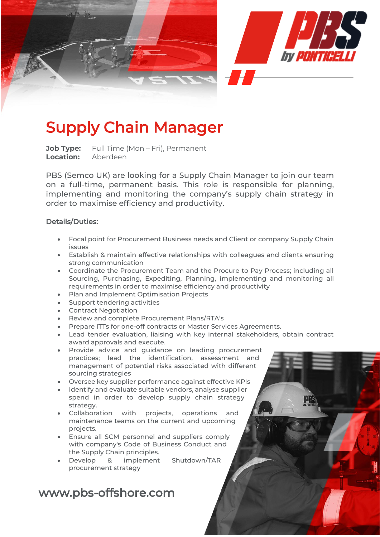

# Supply Chain Manager

**Job Type:** Full Time (Mon – Fri), Permanent **Location:** Aberdeen

PBS (Semco UK) are looking for a Supply Chain Manager to join our team on a full-time, permanent basis. This role is responsible for planning, implementing and monitoring the company's supply chain strategy in order to maximise efficiency and productivity.

### Details/Duties:

- Focal point for Procurement Business needs and Client or company Supply Chain issues
- Establish & maintain effective relationships with colleagues and clients ensuring strong communication
- Coordinate the Procurement Team and the Procure to Pay Process; including all Sourcing, Purchasing, Expediting, Planning, implementing and monitoring all requirements in order to maximise efficiency and productivity
- Plan and Implement Optimisation Projects
- Support tendering activities
- Contract Negotiation
- Review and complete Procurement Plans/RTA's
- Prepare ITTs for one-off contracts or Master Services Agreements.
- Lead tender evaluation, liaising with key internal stakeholders, obtain contract award approvals and execute.
- Provide advice and guidance on leading procurement practices; lead the identification, assessment and management of potential risks associated with different sourcing strategies
- Oversee key supplier performance against effective KPIs
- Identify and evaluate suitable vendors, analyse supplier spend in order to develop supply chain strategy strategy.
- Collaboration with projects, operations and maintenance teams on the current and upcoming projects.
- Ensure all SCM personnel and suppliers comply with company's Code of Business Conduct and the Supply Chain principles.
- Develop & implement Shutdown/TAR procurement strategy

## www.pbs-offshore.com